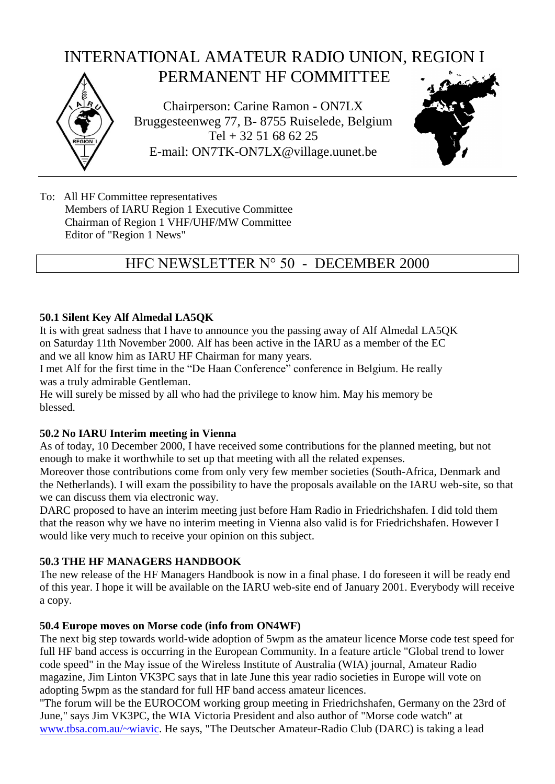# Chairperson: Carine Ramon - ON7LX Bruggesteenweg 77, B- 8755 Ruiselede, Belgium Tel + 32 51 68 62 25 E-mail: ON7TK-ON7LX@village.uunet.be INTERNATIONAL AMATEUR RADIO UNION, REGION I PERMANENT HF COMMITTEE

To: All HF Committee representatives Members of IARU Region 1 Executive Committee Chairman of Region 1 VHF/UHF/MW Committee Editor of "Region 1 News"

## HFC NEWSLETTER N° 50 - DECEMBER 2000

### **50.1 Silent Key Alf Almedal LA5QK**

It is with great sadness that I have to announce you the passing away of Alf Almedal LA5QK on Saturday 11th November 2000. Alf has been active in the IARU as a member of the EC and we all know him as IARU HF Chairman for many years.

I met Alf for the first time in the "De Haan Conference" conference in Belgium. He really was a truly admirable Gentleman.

He will surely be missed by all who had the privilege to know him. May his memory be blessed.

#### **50.2 No IARU Interim meeting in Vienna**

As of today, 10 December 2000, I have received some contributions for the planned meeting, but not enough to make it worthwhile to set up that meeting with all the related expenses.

Moreover those contributions come from only very few member societies (South-Africa, Denmark and the Netherlands). I will exam the possibility to have the proposals available on the IARU web-site, so that we can discuss them via electronic way.

DARC proposed to have an interim meeting just before Ham Radio in Friedrichshafen. I did told them that the reason why we have no interim meeting in Vienna also valid is for Friedrichshafen. However I would like very much to receive your opinion on this subject.

#### **50.3 THE HF MANAGERS HANDBOOK**

The new release of the HF Managers Handbook is now in a final phase. I do foreseen it will be ready end of this year. I hope it will be available on the IARU web-site end of January 2001. Everybody will receive a copy.

#### **50.4 Europe moves on Morse code (info from ON4WF)**

The next big step towards world-wide adoption of 5wpm as the amateur licence Morse code test speed for full HF band access is occurring in the European Community. In a feature article "Global trend to lower code speed" in the May issue of the Wireless Institute of Australia (WIA) journal, Amateur Radio magazine, Jim Linton VK3PC says that in late June this year radio societies in Europe will vote on adopting 5wpm as the standard for full HF band access amateur licences.

"The forum will be the EUROCOM working group meeting in Friedrichshafen, Germany on the 23rd of June," says Jim VK3PC, the WIA Victoria President and also author of "Morse code watch" at [www.tbsa.com.au/~wiavic.](http://www.tbsa.com.au/~wiavic) He says, "The Deutscher Amateur-Radio Club (DARC) is taking a lead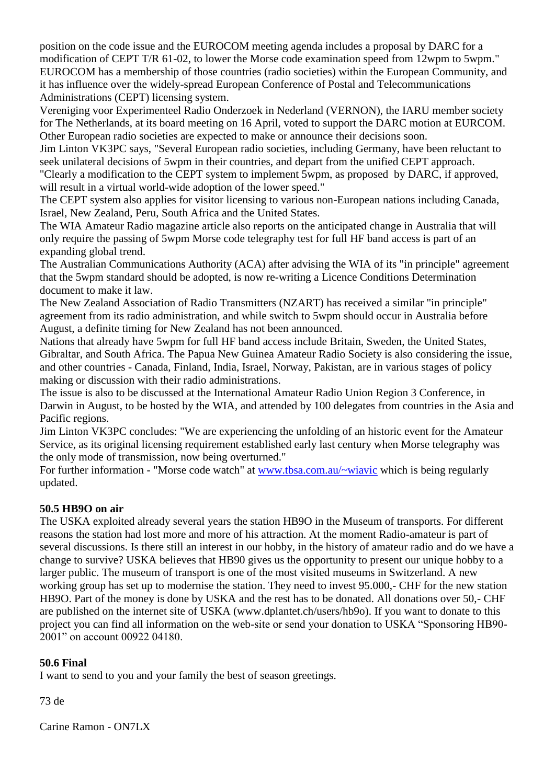position on the code issue and the EUROCOM meeting agenda includes a proposal by DARC for a modification of CEPT T/R 61-02, to lower the Morse code examination speed from 12wpm to 5wpm." EUROCOM has a membership of those countries (radio societies) within the European Community, and it has influence over the widely-spread European Conference of Postal and Telecommunications Administrations (CEPT) licensing system.

Vereniging voor Experimenteel Radio Onderzoek in Nederland (VERNON), the IARU member society for The Netherlands, at its board meeting on 16 April, voted to support the DARC motion at EURCOM. Other European radio societies are expected to make or announce their decisions soon.

Jim Linton VK3PC says, "Several European radio societies, including Germany, have been reluctant to seek unilateral decisions of 5wpm in their countries, and depart from the unified CEPT approach. "Clearly a modification to the CEPT system to implement 5wpm, as proposed by DARC, if approved, will result in a virtual world-wide adoption of the lower speed."

The CEPT system also applies for visitor licensing to various non-European nations including Canada, Israel, New Zealand, Peru, South Africa and the United States.

The WIA Amateur Radio magazine article also reports on the anticipated change in Australia that will only require the passing of 5wpm Morse code telegraphy test for full HF band access is part of an expanding global trend.

The Australian Communications Authority (ACA) after advising the WIA of its "in principle" agreement that the 5wpm standard should be adopted, is now re-writing a Licence Conditions Determination document to make it law.

The New Zealand Association of Radio Transmitters (NZART) has received a similar "in principle" agreement from its radio administration, and while switch to 5wpm should occur in Australia before August, a definite timing for New Zealand has not been announced.

Nations that already have 5wpm for full HF band access include Britain, Sweden, the United States, Gibraltar, and South Africa. The Papua New Guinea Amateur Radio Society is also considering the issue, and other countries - Canada, Finland, India, Israel, Norway, Pakistan, are in various stages of policy making or discussion with their radio administrations.

The issue is also to be discussed at the International Amateur Radio Union Region 3 Conference, in Darwin in August, to be hosted by the WIA, and attended by 100 delegates from countries in the Asia and Pacific regions.

Jim Linton VK3PC concludes: "We are experiencing the unfolding of an historic event for the Amateur Service, as its original licensing requirement established early last century when Morse telegraphy was the only mode of transmission, now being overturned."

For further information - "Morse code watch" at [www.tbsa.com.au/~wiavic](http://www.tbsa.com.au/~wiavic) which is being regularly updated.

#### **50.5 HB9O on air**

The USKA exploited already several years the station HB9O in the Museum of transports. For different reasons the station had lost more and more of his attraction. At the moment Radio-amateur is part of several discussions. Is there still an interest in our hobby, in the history of amateur radio and do we have a change to survive? USKA believes that HB90 gives us the opportunity to present our unique hobby to a larger public. The museum of transport is one of the most visited museums in Switzerland. A new working group has set up to modernise the station. They need to invest 95.000,- CHF for the new station HB9O. Part of the money is done by USKA and the rest has to be donated. All donations over 50,- CHF are published on the internet site of USKA (www.dplantet.ch/users/hb9o). If you want to donate to this project you can find all information on the web-site or send your donation to USKA "Sponsoring HB90- 2001" on account 00922 04180.

#### **50.6 Final**

I want to send to you and your family the best of season greetings.

73 de

Carine Ramon - ON7LX